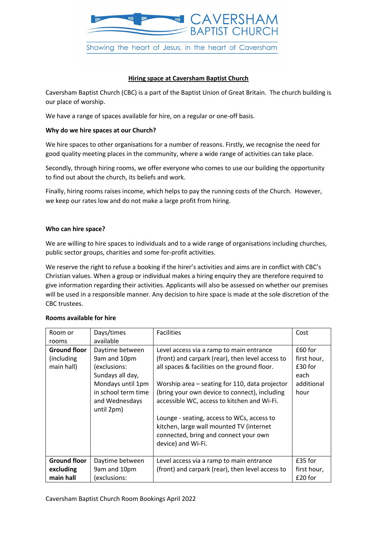

# **Hiring space at Caversham Baptist Church**

Caversham Baptist Church (CBC) is a part of the Baptist Union of Great Britain. The church building is our place of worship.

We have a range of spaces available for hire, on a regular or one-off basis.

## **Why do we hire spaces at our Church?**

We hire spaces to other organisations for a number of reasons. Firstly, we recognise the need for good quality meeting places in the community, where a wide range of activities can take place.

Secondly, through hiring rooms, we offer everyone who comes to use our building the opportunity to find out about the church, its beliefs and work.

Finally, hiring rooms raises income, which helps to pay the running costs of the Church. However, we keep our rates low and do not make a large profit from hiring.

## **Who can hire space?**

We are willing to hire spaces to individuals and to a wide range of organisations including churches, public sector groups, charities and some for-profit activities.

We reserve the right to refuse a booking if the hirer's activities and aims are in conflict with CBC's Christian values. When a group or individual makes a hiring enquiry they are therefore required to give information regarding their activities. Applicants will also be assessed on whether our premises will be used in a responsible manner. Any decision to hire space is made at the sole discretion of the CBC trustees.

| Room or                                          | Days/times                                                                                                                                      | <b>Facilities</b>                                                                                                                                                                                                                                                                                                                                                                                                                                       | Cost                                                            |
|--------------------------------------------------|-------------------------------------------------------------------------------------------------------------------------------------------------|---------------------------------------------------------------------------------------------------------------------------------------------------------------------------------------------------------------------------------------------------------------------------------------------------------------------------------------------------------------------------------------------------------------------------------------------------------|-----------------------------------------------------------------|
| rooms                                            | available                                                                                                                                       |                                                                                                                                                                                                                                                                                                                                                                                                                                                         |                                                                 |
| <b>Ground floor</b><br>(including)<br>main hall) | Daytime between<br>9am and 10pm<br>(exclusions:<br>Sundays all day,<br>Mondays until 1pm<br>in school term time<br>and Wednesdays<br>until 2pm) | Level access via a ramp to main entrance<br>(front) and carpark (rear), then level access to<br>all spaces & facilities on the ground floor.<br>Worship area – seating for 110, data projector<br>(bring your own device to connect), including<br>accessible WC, access to kitchen and Wi-Fi.<br>Lounge - seating, access to WCs, access to<br>kitchen, large wall mounted TV (internet<br>connected, bring and connect your own<br>device) and Wi-Fi. | £60 for<br>first hour,<br>£30 for<br>each<br>additional<br>hour |
| <b>Ground floor</b><br>excluding<br>main hall    | Daytime between<br>9am and 10pm<br>(exclusions:                                                                                                 | Level access via a ramp to main entrance<br>(front) and carpark (rear), then level access to                                                                                                                                                                                                                                                                                                                                                            | £35 for<br>first hour,<br>£20 for                               |

## **Rooms available for hire**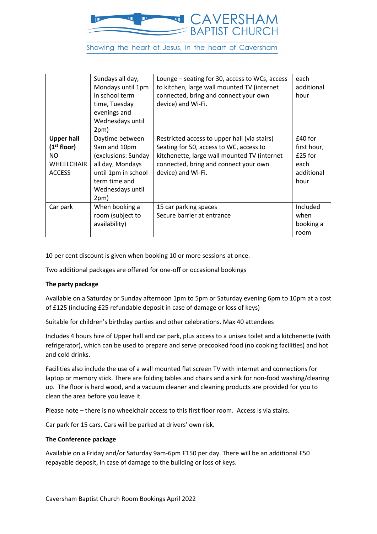

Showing the heart of Jesus, in the heart of Caversham

|                                                                                           | Sundays all day,<br>Mondays until 1pm<br>in school term<br>time, Tuesday<br>evenings and<br>Wednesdays until<br>2pm)                           | Lounge – seating for 30, access to WCs, access<br>to kitchen, large wall mounted TV (internet<br>connected, bring and connect your own<br>device) and Wi-Fi.                                           | each<br>additional<br>hour                                          |
|-------------------------------------------------------------------------------------------|------------------------------------------------------------------------------------------------------------------------------------------------|--------------------------------------------------------------------------------------------------------------------------------------------------------------------------------------------------------|---------------------------------------------------------------------|
| <b>Upper hall</b><br>(1 <sup>st</sup> floor)<br>NO.<br><b>WHEELCHAIR</b><br><b>ACCESS</b> | Daytime between<br>9am and 10pm<br>(exclusions: Sunday<br>all day, Mondays<br>until 1pm in school<br>term time and<br>Wednesdays until<br>2pm) | Restricted access to upper hall (via stairs)<br>Seating for 50, access to WC, access to<br>kitchenette, large wall mounted TV (internet<br>connected, bring and connect your own<br>device) and Wi-Fi. | $£40$ for<br>first hour,<br>$£25$ for<br>each<br>additional<br>hour |
| Car park                                                                                  | When booking a<br>room (subject to<br>availability)                                                                                            | 15 car parking spaces<br>Secure barrier at entrance                                                                                                                                                    | Included<br>when<br>booking a<br>room                               |

10 per cent discount is given when booking 10 or more sessions at once.

Two additional packages are offered for one-off or occasional bookings

## **The party package**

Available on a Saturday or Sunday afternoon 1pm to 5pm or Saturday evening 6pm to 10pm at a cost of £125 (including £25 refundable deposit in case of damage or loss of keys)

Suitable for children's birthday parties and other celebrations. Max 40 attendees

Includes 4 hours hire of Upper hall and car park, plus access to a unisex toilet and a kitchenette (with refrigerator), which can be used to prepare and serve precooked food (no cooking facilities) and hot and cold drinks.

Facilities also include the use of a wall mounted flat screen TV with internet and connections for laptop or memory stick. There are folding tables and chairs and a sink for non-food washing/clearing up. The floor is hard wood, and a vacuum cleaner and cleaning products are provided for you to clean the area before you leave it.

Please note – there is no wheelchair access to this first floor room. Access is via stairs.

Car park for 15 cars. Cars will be parked at drivers' own risk.

#### **The Conference package**

Available on a Friday and/or Saturday 9am-6pm £150 per day. There will be an additional £50 repayable deposit, in case of damage to the building or loss of keys.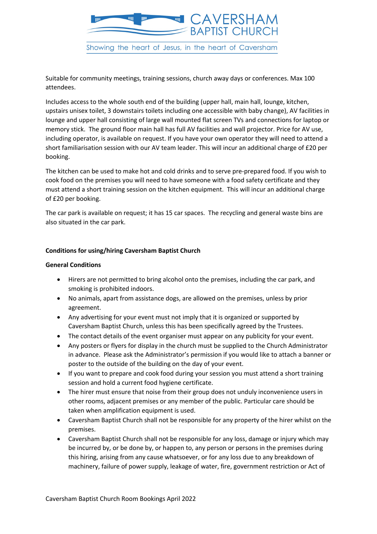

Suitable for community meetings, training sessions, church away days or conferences. Max 100 attendees.

Includes access to the whole south end of the building (upper hall, main hall, lounge, kitchen, upstairs unisex toilet, 3 downstairs toilets including one accessible with baby change), AV facilities in lounge and upper hall consisting of large wall mounted flat screen TVs and connections for laptop or memory stick. The ground floor main hall has full AV facilities and wall projector. Price for AV use, including operator, is available on request. If you have your own operator they will need to attend a short familiarisation session with our AV team leader. This will incur an additional charge of £20 per booking.

The kitchen can be used to make hot and cold drinks and to serve pre-prepared food. If you wish to cook food on the premises you will need to have someone with a food safety certificate and they must attend a short training session on the kitchen equipment. This will incur an additional charge of £20 per booking.

The car park is available on request; it has 15 car spaces. The recycling and general waste bins are also situated in the car park.

## **Conditions for using/hiring Caversham Baptist Church**

## **General Conditions**

- Hirers are not permitted to bring alcohol onto the premises, including the car park, and smoking is prohibited indoors.
- No animals, apart from assistance dogs, are allowed on the premises, unless by prior agreement.
- Any advertising for your event must not imply that it is organized or supported by Caversham Baptist Church, unless this has been specifically agreed by the Trustees.
- The contact details of the event organiser must appear on any publicity for your event.
- Any posters or flyers for display in the church must be supplied to the Church Administrator in advance. Please ask the Administrator's permission if you would like to attach a banner or poster to the outside of the building on the day of your event.
- If you want to prepare and cook food during your session you must attend a short training session and hold a current food hygiene certificate.
- The hirer must ensure that noise from their group does not unduly inconvenience users in other rooms, adjacent premises or any member of the public. Particular care should be taken when amplification equipment is used.
- Caversham Baptist Church shall not be responsible for any property of the hirer whilst on the premises.
- Caversham Baptist Church shall not be responsible for any loss, damage or injury which may be incurred by, or be done by, or happen to, any person or persons in the premises during this hiring, arising from any cause whatsoever, or for any loss due to any breakdown of machinery, failure of power supply, leakage of water, fire, government restriction or Act of